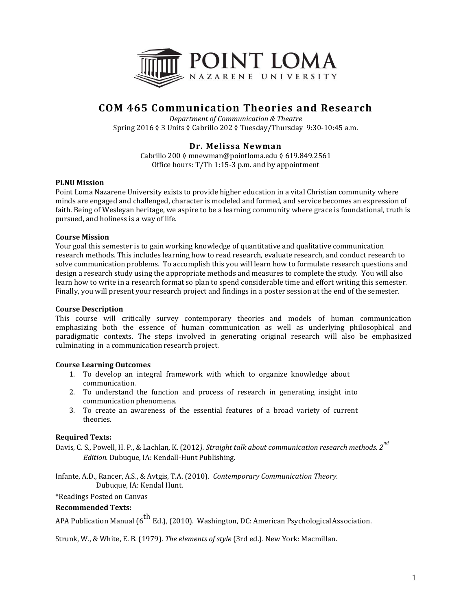

# **COM 465 Communication Theories and Research**

*Department of Communication & Theatre* Spring 2016 ◊ 3 Units ◊ Cabrillo 202 ◊ Tuesday/Thursday 9:30-10:45 a.m.

# **Dr. Melissa Newman**

Cabrillo 200 ◊ mnewman@pointloma.edu ◊ 619.849.2561 Office hours: T/Th 1:15-3 p.m. and by appointment

# **PLNU Mission**

Point Loma Nazarene University exists to provide higher education in a vital Christian community where minds are engaged and challenged, character is modeled and formed, and service becomes an expression of faith. Being of Wesleyan heritage, we aspire to be a learning community where grace is foundational, truth is pursued, and holiness is a way of life.

# **Course Mission**

Your goal this semester is to gain working knowledge of quantitative and qualitative communication research methods. This includes learning how to read research, evaluate research, and conduct research to solve communication problems. To accomplish this you will learn how to formulate research questions and design a research study using the appropriate methods and measures to complete the study. You will also learn how to write in a research format so plan to spend considerable time and effort writing this semester. Finally, you will present your research project and findings in a poster session at the end of the semester.

### **Course Description**

This course will critically survey contemporary theories and models of human communication emphasizing both the essence of human communication as well as underlying philosophical and paradigmatic contexts. The steps involved in generating original research will also be emphasized culminating in a communication research project.

# **Course Learning Outcomes**

- 1. To develop an integral framework with which to organize knowledge about communication.
- 2. To understand the function and process of research in generating insight into communication phenomena.
- 3. To create an awareness of the essential features of a broad variety of current theories.

# **Required Texts:**

Davis, C. S., Powell, H. P., & Lachlan, K. (2012*). Straight talk about communication research methods. 2 nd Edition.* Dubuque, IA: Kendall-Hunt Publishing.

Infante, A.D., Rancer, A.S., & Avtgis, T.A. (2010). *Contemporary Communication Theory*. Dubuque, IA: Kendal Hunt.

\*Readings Posted on Canvas

### **Recommended Texts:**

APA Publication Manual ( $6^{th}$  Ed.), (2010). Washington, DC: American Psychological Association.

Strunk, W., & White, E. B. (1979). *The elements of style* (3rd ed.). New York: Macmillan.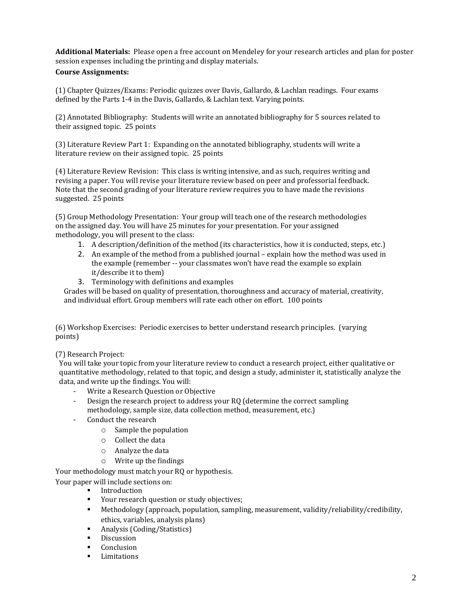**Additional Materials:** Please open a free account on Mendeley for your research articles and plan for poster session expenses including the printing and display materials.

### **Course Assignments:**

(1) Chapter Quizzes/Exams: Periodic quizzes over Davis, Gallardo, & Lachlan readings. Four exams defined by the Parts 1-4 in the Davis, Gallardo, & Lachlan text. Varying points.

(2) Annotated Bibliography: Students will write an annotated bibliography for 5 sources related to their assigned topic. 25 points

(3) Literature Review Part 1: Expanding on the annotated bibliography, students will write a literature review on their assigned topic. 25 points

(4) Literature Review Revision: This class is writing intensive, and as such, requires writing and revising a paper. You will revise your literature review based on peer and professorial feedback. Note that the second grading of your literature review requires you to have made the revisions suggested. 25 points

(5) Group Methodology Presentation: Your group will teach one of the research methodologies on the assigned day. You will have 25 minutes for your presentation. For your assigned methodology, you will present to the class:

- 1. A description/definition of the method (its characteristics, how it is conducted, steps, etc.)
- 2. An example of the method from a published journal explain how the method was used in the example (remember -- your classmates won't have read the example so explain it/describe it to them)
- 3. Terminology with definitions and examples

Grades will be based on quality of presentation, thoroughness and accuracy of material, creativity, and individual effort. Group members will rate each other on effort. 100 points

(6) Workshop Exercises: Periodic exercises to better understand research principles. (varying points)

(7) Research Project:

You will take your topic from your literature review to conduct a research project, either qualitative or quantitative methodology, related to that topic, and design a study, administer it, statistically analyze the data, and write up the findings. You will:

- Write a Research Question or Objective
- Design the research project to address your RQ (determine the correct sampling methodology, sample size, data collection method, measurement, etc.)
- Conduct the research
	- o Sample the population
	- o Collect the data
	- o Analyze the data
	- o Write up the findings

Your methodology must match your RQ or hypothesis.

Your paper will include sections on:

- Introduction
- Your research question or study objectives;
- Methodology (approach, population, sampling, measurement, validity/reliability/credibility, ethics, variables, analysis plans)
- Analysis (Coding/Statistics)
- Discussion
- Conclusion
- Limitations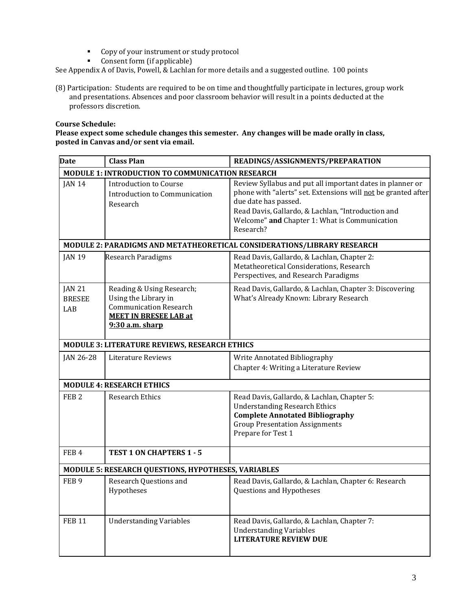- Copy of your instrument or study protocol
- Consent form (if applicable)

See Appendix A of Davis, Powell, & Lachlan for more details and a suggested outline. 100 points

(8) Participation: Students are required to be on time and thoughtfully participate in lectures, group work and presentations. Absences and poor classroom behavior will result in a points deducted at the professors discretion.

# **Course Schedule:**

**Please expect some schedule changes this semester. Any changes will be made orally in class, posted in Canvas and/or sent via email.** 

| <b>Date</b>                                                             | <b>Class Plan</b>                                                                                                                       | READINGS/ASSIGNMENTS/PREPARATION                                                                                                                                                                                                                                       |  |  |
|-------------------------------------------------------------------------|-----------------------------------------------------------------------------------------------------------------------------------------|------------------------------------------------------------------------------------------------------------------------------------------------------------------------------------------------------------------------------------------------------------------------|--|--|
| MODULE 1: INTRODUCTION TO COMMUNICATION RESEARCH                        |                                                                                                                                         |                                                                                                                                                                                                                                                                        |  |  |
| <b>JAN 14</b>                                                           | <b>Introduction to Course</b><br>Introduction to Communication<br>Research                                                              | Review Syllabus and put all important dates in planner or<br>phone with "alerts" set. Extensions will not be granted after<br>due date has passed.<br>Read Davis, Gallardo, & Lachlan, "Introduction and<br>Welcome" and Chapter 1: What is Communication<br>Research? |  |  |
| MODULE 2: PARADIGMS AND METATHEORETICAL CONSIDERATIONS/LIBRARY RESEARCH |                                                                                                                                         |                                                                                                                                                                                                                                                                        |  |  |
| <b>JAN 19</b>                                                           | <b>Research Paradigms</b>                                                                                                               | Read Davis, Gallardo, & Lachlan, Chapter 2:<br>Metatheoretical Considerations, Research<br>Perspectives, and Research Paradigms                                                                                                                                        |  |  |
| <b>JAN 21</b><br><b>BRESEE</b><br>LAB                                   | Reading & Using Research;<br>Using the Library in<br><b>Communication Research</b><br><b>MEET IN BRESEE LAB at</b><br>$9:30$ a.m. sharp | Read Davis, Gallardo, & Lachlan, Chapter 3: Discovering<br>What's Already Known: Library Research                                                                                                                                                                      |  |  |
| MODULE 3: LITERATURE REVIEWS, RESEARCH ETHICS                           |                                                                                                                                         |                                                                                                                                                                                                                                                                        |  |  |
| JAN 26-28                                                               | Literature Reviews                                                                                                                      | Write Annotated Bibliography<br>Chapter 4: Writing a Literature Review                                                                                                                                                                                                 |  |  |
| <b>MODULE 4: RESEARCH ETHICS</b>                                        |                                                                                                                                         |                                                                                                                                                                                                                                                                        |  |  |
| FEB <sub>2</sub>                                                        | <b>Research Ethics</b>                                                                                                                  | Read Davis, Gallardo, & Lachlan, Chapter 5:<br><b>Understanding Research Ethics</b><br><b>Complete Annotated Bibliography</b><br><b>Group Presentation Assignments</b><br>Prepare for Test 1                                                                           |  |  |
| FEB <sub>4</sub>                                                        | <b>TEST 1 ON CHAPTERS 1 - 5</b>                                                                                                         |                                                                                                                                                                                                                                                                        |  |  |
| MODULE 5: RESEARCH QUESTIONS, HYPOTHESES, VARIABLES                     |                                                                                                                                         |                                                                                                                                                                                                                                                                        |  |  |
| FEB <sub>9</sub>                                                        | <b>Research Questions and</b><br>Hypotheses                                                                                             | Read Davis, Gallardo, & Lachlan, Chapter 6: Research<br>Questions and Hypotheses                                                                                                                                                                                       |  |  |
| <b>FEB 11</b>                                                           | <b>Understanding Variables</b>                                                                                                          | Read Davis, Gallardo, & Lachlan, Chapter 7:<br><b>Understanding Variables</b><br><b>LITERATURE REVIEW DUE</b>                                                                                                                                                          |  |  |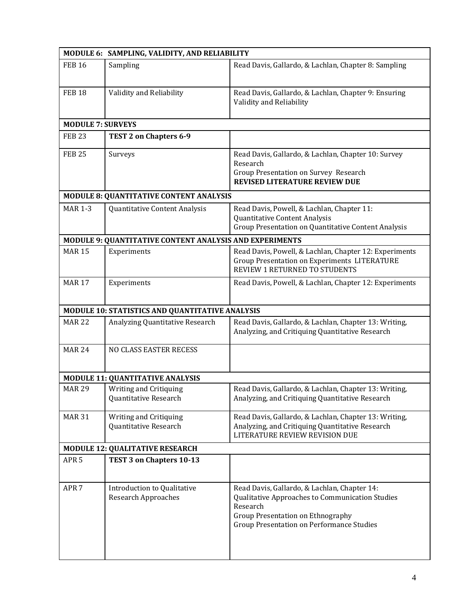| MODULE 6: SAMPLING, VALIDITY, AND RELIABILITY   |                                                                  |                                                                                                                                                                                               |  |  |
|-------------------------------------------------|------------------------------------------------------------------|-----------------------------------------------------------------------------------------------------------------------------------------------------------------------------------------------|--|--|
| <b>FEB 16</b>                                   | Sampling                                                         | Read Davis, Gallardo, & Lachlan, Chapter 8: Sampling                                                                                                                                          |  |  |
| <b>FEB 18</b>                                   | Validity and Reliability                                         | Read Davis, Gallardo, & Lachlan, Chapter 9: Ensuring<br>Validity and Reliability                                                                                                              |  |  |
| <b>MODULE 7: SURVEYS</b>                        |                                                                  |                                                                                                                                                                                               |  |  |
| <b>FEB 23</b>                                   | TEST 2 on Chapters 6-9                                           |                                                                                                                                                                                               |  |  |
| <b>FEB 25</b>                                   | Surveys                                                          | Read Davis, Gallardo, & Lachlan, Chapter 10: Survey<br>Research<br>Group Presentation on Survey Research<br><b>REVISED LITERATURE REVIEW DUE</b>                                              |  |  |
|                                                 | <b>MODULE 8: QUANTITATIVE CONTENT ANALYSIS</b>                   |                                                                                                                                                                                               |  |  |
| <b>MAR 1-3</b>                                  | Quantitative Content Analysis                                    | Read Davis, Powell, & Lachlan, Chapter 11:<br>Quantitative Content Analysis<br>Group Presentation on Quantitative Content Analysis                                                            |  |  |
|                                                 | MODULE 9: QUANTITATIVE CONTENT ANALYSIS AND EXPERIMENTS          |                                                                                                                                                                                               |  |  |
| <b>MAR 15</b>                                   | Experiments                                                      | Read Davis, Powell, & Lachlan, Chapter 12: Experiments<br><b>Group Presentation on Experiments LITERATURE</b><br>REVIEW 1 RETURNED TO STUDENTS                                                |  |  |
| <b>MAR 17</b>                                   | Experiments                                                      | Read Davis, Powell, & Lachlan, Chapter 12: Experiments                                                                                                                                        |  |  |
| MODULE 10: STATISTICS AND QUANTITATIVE ANALYSIS |                                                                  |                                                                                                                                                                                               |  |  |
| <b>MAR 22</b>                                   | Analyzing Quantitative Research                                  | Read Davis, Gallardo, & Lachlan, Chapter 13: Writing,<br>Analyzing, and Critiquing Quantitative Research                                                                                      |  |  |
| <b>MAR 24</b>                                   | <b>NO CLASS EASTER RECESS</b>                                    |                                                                                                                                                                                               |  |  |
| <b>MODULE 11: QUANTITATIVE ANALYSIS</b>         |                                                                  |                                                                                                                                                                                               |  |  |
| <b>MAR 29</b>                                   | Writing and Critiquing<br>Quantitative Research                  | Read Davis, Gallardo, & Lachlan, Chapter 13: Writing,<br>Analyzing, and Critiquing Quantitative Research                                                                                      |  |  |
| <b>MAR 31</b>                                   | Writing and Critiquing<br>Quantitative Research                  | Read Davis, Gallardo, & Lachlan, Chapter 13: Writing,<br>Analyzing, and Critiquing Quantitative Research<br>LITERATURE REVIEW REVISION DUE                                                    |  |  |
|                                                 | <b>MODULE 12: QUALITATIVE RESEARCH</b>                           |                                                                                                                                                                                               |  |  |
| APR <sub>5</sub>                                | TEST 3 on Chapters 10-13                                         |                                                                                                                                                                                               |  |  |
| APR <sub>7</sub>                                | <b>Introduction to Qualitative</b><br><b>Research Approaches</b> | Read Davis, Gallardo, & Lachlan, Chapter 14:<br>Qualitative Approaches to Communication Studies<br>Research<br>Group Presentation on Ethnography<br>Group Presentation on Performance Studies |  |  |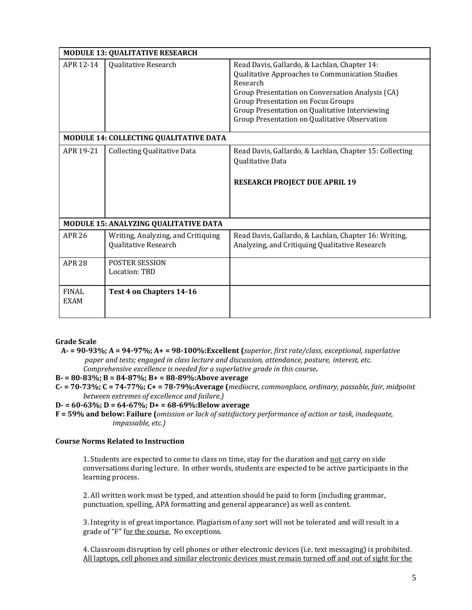| <b>MODULE 13: QUALITATIVE RESEARCH</b> |                                                            |                                                                                                                                                                                                                                                                                                                 |  |  |
|----------------------------------------|------------------------------------------------------------|-----------------------------------------------------------------------------------------------------------------------------------------------------------------------------------------------------------------------------------------------------------------------------------------------------------------|--|--|
| APR 12-14                              | Qualitative Research                                       | Read Davis, Gallardo, & Lachlan, Chapter 14:<br>Qualitative Approaches to Communication Studies<br>Research<br>Group Presentation on Conversation Analysis (CA)<br><b>Group Presentation on Focus Groups</b><br>Group Presentation on Qualitative Interviewing<br>Group Presentation on Qualitative Observation |  |  |
| MODULE 14: COLLECTING QUALITATIVE DATA |                                                            |                                                                                                                                                                                                                                                                                                                 |  |  |
| APR 19-21                              | <b>Collecting Qualitative Data</b>                         | Read Davis, Gallardo, & Lachlan, Chapter 15: Collecting<br>Qualitative Data<br><b>RESEARCH PROJECT DUE APRIL 19</b>                                                                                                                                                                                             |  |  |
| MODULE 15: ANALYZING QUALITATIVE DATA  |                                                            |                                                                                                                                                                                                                                                                                                                 |  |  |
| <b>APR 26</b>                          | Writing, Analyzing, and Critiquing<br>Qualitative Research | Read Davis, Gallardo, & Lachlan, Chapter 16: Writing,<br>Analyzing, and Critiquing Qualitative Research                                                                                                                                                                                                         |  |  |
| <b>APR 28</b>                          | <b>POSTER SESSION</b><br>Location: TBD                     |                                                                                                                                                                                                                                                                                                                 |  |  |
| <b>FINAL</b><br><b>EXAM</b>            | Test 4 on Chapters 14-16                                   |                                                                                                                                                                                                                                                                                                                 |  |  |

**Grade Scale**

- **A- = 90-93%; A = 94-97%; A+ = 98-100%:Excellent (***superior, first rate/class, exceptional, superlative paper and tests; engaged in class lecture and discussion, attendance, posture, interest, etc. Comprehensive excellence is needed for a superlative grade in this course***.**
- **B- = 80-83%; B = 84-87%; B+ = 88-89%:Above average**
- **C- = 70-73%; C = 74-77%; C+ = 78-79%:Average (***mediocre, commonplace, ordinary, passable, fair, midpoint between extremes of excellence and failure.)*
- **D- = 60-63%; D = 64-67%; D+ = 68-69%:Below average**
- **F = 59% and below: Failure (***omission or lack of satisfactory performance of action or task, inadequate, impassable, etc.)*

# **Course Norms Related to Instruction**

1. Students are expected to come to class on time, stay for the duration and not carry on side conversations during lecture. In other words, students are expected to be active participants in the learning process.

2. All written work must be typed, and attention should be paid to form (including grammar, punctuation, spelling, APA formatting and general appearance) as well as content.

3. Integrity is of great importance. Plagiarism of any sort will not be tolerated and will result in a grade of "F" for the course. No exceptions.

4. Classroom disruption by cell phones or other electronic devices (i.e. text messaging) is prohibited. All laptops, cell phones and similar electronic devices must remain turned off and out of sight for the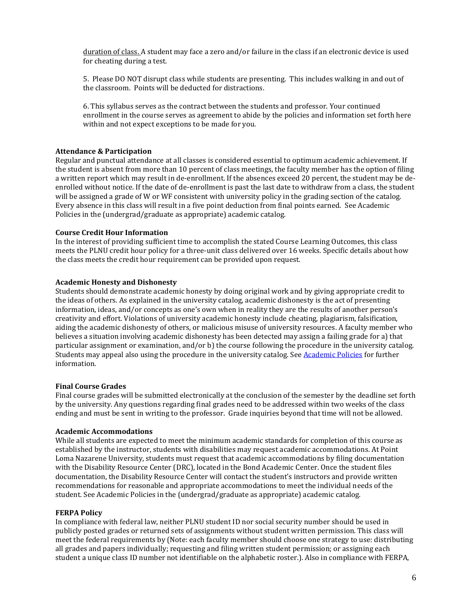duration of class. A student may face a zero and/or failure in the class if an electronic device is used for cheating during a test.

5. Please DO NOT disrupt class while students are presenting. This includes walking in and out of the classroom. Points will be deducted for distractions.

6. This syllabus serves as the contract between the students and professor. Your continued enrollment in the course serves as agreement to abide by the policies and information set forth here within and not expect exceptions to be made for you.

#### **Attendance & Participation**

Regular and punctual attendance at all classes is considered essential to optimum academic achievement. If the student is absent from more than 10 percent of class meetings, the faculty member has the option of filing a written report which may result in de-enrollment. If the absences exceed 20 percent, the student may be deenrolled without notice. If the date of de-enrollment is past the last date to withdraw from a class, the student will be assigned a grade of W or WF consistent with university policy in the grading section of the catalog. Every absence in this class will result in a five point deduction from final points earned. See Academic Policies in the (undergrad/graduate as appropriate) academic catalog.

### **Course Credit Hour Information**

In the interest of providing sufficient time to accomplish the stated Course Learning Outcomes, this class meets the PLNU credit hour policy for a three-unit class delivered over 16 weeks. Specific details about how the class meets the credit hour requirement can be provided upon request.

#### **Academic Honesty and Dishonesty**

Students should demonstrate academic honesty by doing original work and by giving appropriate credit to the ideas of others. As explained in the university catalog, academic dishonesty is the act of presenting information, ideas, and/or concepts as one's own when in reality they are the results of another person's creativity and effort. Violations of university academic honesty include cheating, plagiarism, falsification, aiding the academic dishonesty of others, or malicious misuse of university resources. A faculty member who believes a situation involving academic dishonesty has been detected may assign a failing grade for a) that particular assignment or examination, and/or b) the course following the procedure in the university catalog. Students may appeal also using the procedure in the university catalog. See [Academic Policies](http://www.pointloma.edu/experience/academics/catalogs/undergraduate-catalog/point-loma-education/academic-policies) for further information.

#### **Final Course Grades**

Final course grades will be submitted electronically at the conclusion of the semester by the deadline set forth by the university. Any questions regarding final grades need to be addressed within two weeks of the class ending and must be sent in writing to the professor. Grade inquiries beyond that time will not be allowed.

#### **Academic Accommodations**

While all students are expected to meet the minimum academic standards for completion of this course as established by the instructor, students with disabilities may request academic accommodations. At Point Loma Nazarene University, students must request that academic accommodations by filing documentation with the Disability Resource Center (DRC), located in the Bond Academic Center. Once the student files documentation, the Disability Resource Center will contact the student's instructors and provide written recommendations for reasonable and appropriate accommodations to meet the individual needs of the student. See Academic Policies in the (undergrad/graduate as appropriate) academic catalog.

#### **FERPA Policy**

In compliance with federal law, neither PLNU student ID nor social security number should be used in publicly posted grades or returned sets of assignments without student written permission. This class will meet the federal requirements by (Note: each faculty member should choose one strategy to use: distributing all grades and papers individually; requesting and filing written student permission; or assigning each student a unique class ID number not identifiable on the alphabetic roster.). Also in compliance with FERPA,